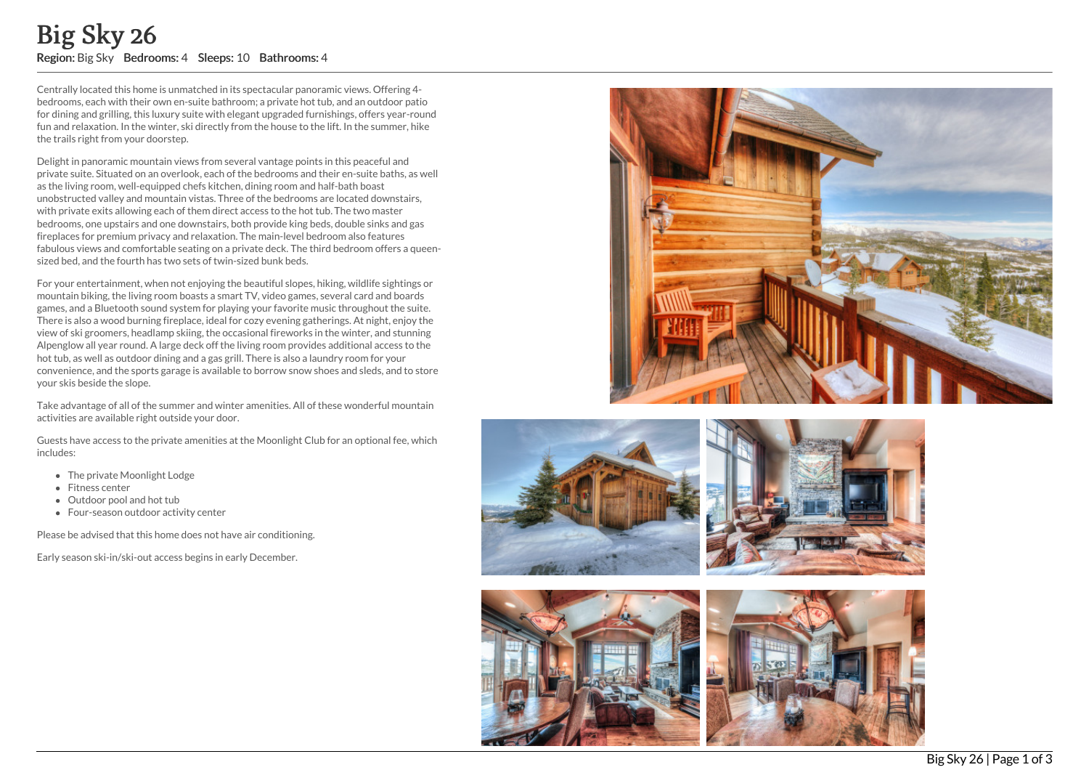Centrally located this home is unmatched in its spectacular panoramic views. Offering 4 bedrooms, each with their own en-suite bathroom; a private hot tub, and an outdoor patio for dining and grilling, this luxury suite with elegant upgraded furnishings, offers year-round fun and relaxation. In the winter, ski directly from the house to the lift. In the summer, hike the trails right from your doorstep.

Delight in panoramic mountain views from several vantage points in this peaceful and private suite. Situated on an overlook, each of the bedrooms and their en-suite baths, as well as the living room, well-equipped chefs kitchen, dining room and half-bath boast unobstructed valley and mountain vistas. Three of the bedrooms are located downstairs, with private exits allowing each of them direct access to the hot tub. The two master bedrooms, one upstairs and one downstairs, both provide king beds, double sinks and gas fireplaces for premium privacy and relaxation. The main-level bedroom also features fabulous views and comfortable seating on a private deck. The third bedroom offers a queensized bed, and the fourth has two sets of twin-sized bunk beds.

For your entertainment, when not enjoying the beautiful slopes, hiking, wildlife sightings or mountain biking, the living room boasts a smart TV, video games, several card and boards games, and a Bluetooth sound system for playing your favorite music throughout the suite. There is also a wood burning fireplace, ideal for cozy evening gatherings. At night, enjoy the view of ski groomers, headlamp skiing, the occasional fireworks in the winter, and stunning Alpenglow all year round. A large deck off the living room provides additional access to the hot tub, as well as outdoor dining and a gas grill. There is also a laundry room for your convenience, and the sports garage is available to borrow snow shoes and sleds, and to store your skis beside the slope.

Take advantage of all of the summer and winter amenities. All of these wonderful mountain activities are available right outside your door.

Guests have access to the private amenities at the Moonlight Club for an optional fee, which includes:

- The private Moonlight Lodge
- Fitness center
- Outdoor pool and hot tub
- Four-season outdoor activity center

Please be advised that this home does not have air conditioning.

Early season ski-in/ski-out access begins in early December.







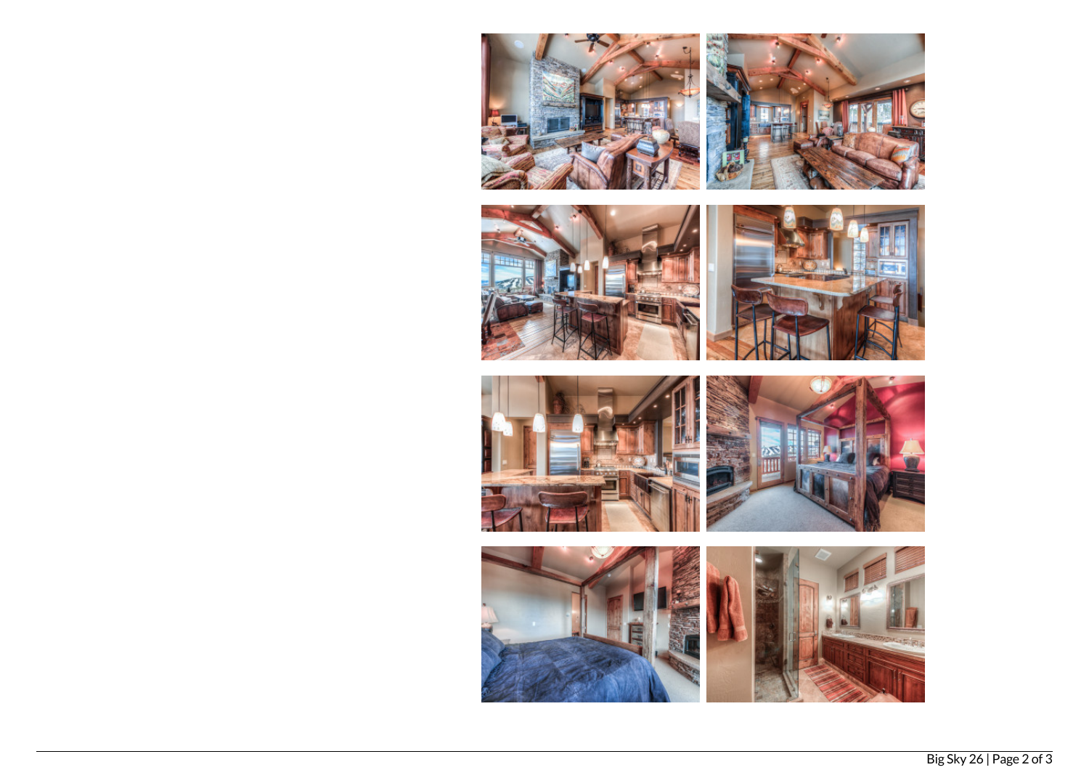